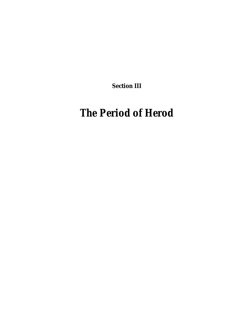**Section III**

# *The Period of Herod*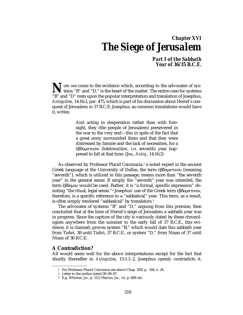# *Chapter XVI The Siege of Jerusalem*

# *Part I of the Sabbath Year of 36/35 B.C.E.*

ow we come to the evidence which, according to the advocates of sys-**N** ow we come to the evidence which, according to the advocates of systems "B" and "D," is the heart of the matter. The entire case for systems "P" and "D" rests upon the popular interpretation and translation of localize "B" and "D" rests upon the popular interpretation and translation of Josephus, *Antiquities*, 14:16:2, par. 475, which is part of his discussion about Herod's conquest of Jerusalem in 37 B.C.E. Josephus, as common translations would have it, writes:

> And acting in desperation rather than with foresight, they (the people of Jerusalem) persevered in the war to the very end—this in spite of the fact that a great army surrounded them and that they were distressed by famine and the lack of necessities, for a *εβδοματικον (hebdomatikon, i.e. seventh) year hap*pened to fall at that time. (Jos., *Antiq.*, 14:16:2)

As observed by Professor Placid Csizmazia, $<sup>1</sup>$  a noted expert in the ancient</sup> Greek language at the University of Dallas, the term εβδοματικόν (meaning "seventh"), which is utilized in this passage, means more than "the seventh year" in the general sense. If simply the "seventh" year was intended, the term £βδοµον would be used. Rather, it is "a formal, specific expression" denoting "the ritual, legal sense."<sup>2</sup> Josephus' use of the Greek term ἑβδοματικὸν, therefore, is a specific reference to a "sabbatical" year. This term, as a result, is often simply rendered "sabbatical" by translators.3

The advocates of systems "B" and "D," arguing from this premise, then concluded that at the time of Herod's siege of Jerusalem a sabbath year was in progress. Since the capture of the city is variously dated by these chronologists anywhere from the summer to the early fall of 37 B.C.E., this evidence, it is claimed, proves system "B," which would date this sabbath year from Tishri, 38 until Tishri, 37 B.C.E., or system "D," from Nisan of 37 until Nisan of 36 B.C.E.

# **A Contradiction?**

——————————

All would seem well for the above interpretations except for the fact that shortly thereafter in *Antiquities*, 15:1:1–2, Josephus openly contradicts it.

<sup>1</sup> For Professor Placid Csizmazia see above Chap. XIII, p. 184, n. 24.

<sup>2</sup> Letter to the author dated 09–08–87.

<sup>3</sup> E.g. Whiston, *Jos.*, p. 313; Marcus, *Jos.*, vii, p. 689; etc.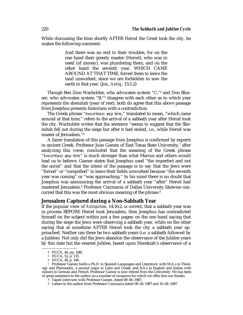While discussing the time shortly AFTER Herod the Great took the city, he makes the following comment:

> And there was no end to their troubles, for on the one hand their greedy master (Herod), who was in need (of money), was plundering them, and on the other hand the seventh year, WHICH CAME AROUND AT THAT TIME, forced them to leave the land unworked, since we are forbidden to sow the earth in that year. (Jos., *Antiq.*, 15:1:2)

Though Ben Zion Wacholder, who advocates system "C,"4 and Don Blosser, who advocates system "B,"5 disagree with each other as to which year represents the shemitah (year of rest), both do agree that this above passage from Josephus presents historians with a contradiction.

The Greek phrase "ενειστήκει γὰρ τότε," translated to mean, "which came around at that time," refers to the arrival of a sabbath year after Herod took the city. Wacholder writes that the sentence "seems to suggest that the Shemitah fell not during the siege but after it had ended, i.e., while Herod was master of Jerusalem."6

A fairer translation of this passage from Josephus is confirmed by experts in ancient Greek. Professor Juan Gamez of East Texas State University,7 after analyzing this verse, concluded that the meaning of the Greek phrase "ενειστήκει γάρ τότε" is much stronger than what Marcus and others would lead us to believe. Gamez states that Josephus used "the imperfect and not the aorist" and that the intent of the passage is to say that the Jews were "forced" or "compelled" to leave their fields unworked because "the seventh year was coming" or "was approaching." In his mind there is no doubt that Josephus was announcing the arrival of a sabbath year "after" Herod had mastered Jerusalem.8 Professor Csizmazia of Dallas University likewise concurred that this was the most obvious meaning of the phrase.<sup>9</sup>

### **Jerusalem Captured during a Non-Sabbath Year**

If the popular view of *Antiquities*, 14:16:2, is correct, that a sabbath year was in process BEFORE Herod took Jerusalem, then Josephus has contradicted himself on the subject within just a few pages: on the one hand saying that during the siege the Jews were observing a sabbath year, while on the other saying that at sometime AFTER Herod took the city a sabbath year approached. Neither can there be two sabbath years (i.e. a sabbath followed by a Jubilee). Not only did the Jews abandon the observance of the Jubilee years by this date but the nearest Jubilee, based upon Hezekiah's observance of a

<sup>4</sup> HUCA, 44, pp. 166f.

<sup>5</sup> HUCA, 52, p. 135.

<sup>6</sup> HUCA, 44, p. 166.

<sup>7</sup> Professor Gamez holds a Ph.D. in Spanish Languages and Literature, with M.A.s in Theology and Philosophy, a second major in Latin and Greek, and B.A.s in English and Italian with minors in German and French. Professor Gamez is now retired from the University. He has been of great assistance to the author on a number of occasions for which we offer him our thanks.

<sup>8</sup> Taped interview with Professor Gamez, dated 09–06–1987.

<sup>9</sup> Letters to the author from Professor Csizmazia dated 09–26–1987 and 10–04–1987.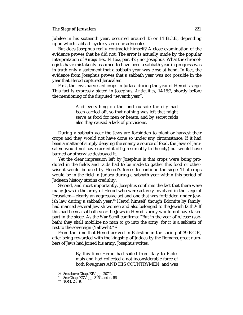#### **The Siege of Jerusalem** 221

Jubilee in his sixteenth year, occurred around 15 or 14 B.C.E., depending upon which sabbath cycle system one advocates.

But does Josephus really contradict himself? A close examination of the evidence proves that he did not. The error is actually made by the popular interpretation of *Antiquities*, 14:16:2, par. 475, not Josephus. What the chronologists have mistakenly assumed to have been a sabbath year in progress was in truth only a statement that a sabbath year was close at hand. In fact, the evidence from Josephus proves that a sabbath year was not possible in the year that Herod captured Jerusalem.

First, the Jews harvested crops in Judaea during the year of Herod's siege. This fact is expressly stated in Josephus, *Antiquities*, 14:16:2, shortly before the mentioning of the disputed "seventh year":

> And everything on the land outside the city had been carried off, so that nothing was left that might serve as food for men or beasts; and by secret raids also they caused a lack of provisions.

During a sabbath year the Jews are forbidden to plant or harvest their crops and they would not have done so under any circumstance. If it had been a matter of simply denying the enemy a source of food, the Jews of Jerusalem would not have carried it off (presumably to the city) but would have burned or otherwise destroyed it.

Yet the clear impression left by Josephus is that crops were being produced in the fields and raids had to be made to gather this food or otherwise it would be used by Herod's forces to continue the siege. That crops would be in the field in Judaea during a sabbath year within this period of Judaean history strains credulity.

Second, and most importantly, Josephus confirms the fact that there were many Jews in the army of Herod who were actively involved in the siege of Jerusalem—clearly an aggressive act and one that was forbidden under Jewish law during a sabbath year.<sup>10</sup> Herod himself, though Edomite by family, had married several Jewish women and also belonged to the Jewish faith.<sup>11</sup> If this had been a sabbath year the Jews in Herod's army would not have taken part in the siege. As the *War Scroll* confirms: "But in the year of release (sabbath) they shall mobilize no man to go into the army, for it is a sabbath of rest to the sovereign (Yahweh)."12

From the time that Herod arrived in Palestine in the spring of 39 B.C.E., after being rewarded with the kingship of Judaea by the Romans, great numbers of Jews had joined his army. Josephus writes:

> By this time Herod had sailed from Italy to Ptolemais and had collected a not inconsiderable force of both foreigners AND HIS COUNTRYMEN, and was

<sup>10</sup> See above Chap. XIV, pp. 207ff.

<sup>11</sup> See Chap. XXV, pp. 315f, and n. 56.

<sup>12</sup> 1QM, 2:8–9.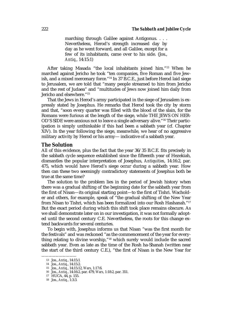marching through Galilee against Antigonus. . . . Nevertheless, Herod's strength increased day by day as he went forward, and all Galilee, except for a few of its inhabitants, came over to his side. (Jos., *Antiq.*, 14:15:1)

After taking Masada "the local inhabitants joined him."13 When he marched against Jericho he took "ten companies, five Roman and five Jewish, and a mixed mercenary force."14 In 37 B.C.E., just before Herod laid siege to Jerusalem, we are told that "many people streamed to him from Jericho and the rest of Judaea" and "multitudes of Jews now joined him daily from Jericho and elsewhere."15

That the Jews in Herod's army participated in the siege of Jerusalem is expressly stated by Josephus. He remarks that Herod took the city by storm and that, "soon every quarter was filled with the blood of the slain, for the Romans were furious at the length of the siege, while THE JEWS ON HER-OD'S SIDE were anxious not to leave a single adversary alive."16 Their participation is simply unthinkable if this had been a sabbath year (cf. Chapter XIV). In the year following the siege, meanwhile, we hear of no aggressive military activity by Herod or his army— indicative of a sabbath year.

# **The Solution**

All of this evidence, plus the fact that the year 36/35 B.C.E. fits precisely in the sabbath cycle sequence established since the fifteenth year of Hezekiah, dismantles the popular interpretation of Josephus, *Antiquities*, 14:16:2, par. 475, which would have Herod's siege occur during a sabbath year. How then can these two seemingly contradictory statements of Josephus both be true at the same time?

The solution to the problem lies in the period of Jewish history when there was a gradual shifting of the beginning date for the sabbath year from the first of Nisan—its original starting point—to the first of Tishri. Wacholder and others, for example, speak of "the gradual shifting of the New Year from Nisan to Tishri, which has been formalized into our Rosh Hashanah."17 But the exact period during which this shift took place remains obscure. As we shall demonstrate later on in our investigation, it was not formally adopted until the second century C.E. Nevertheless, the roots for this change extend backwards for several centuries.

To begin with, Josephus informs us that Nisan "was the first month for the festivals" and was reckoned "as the commencement of the year for everything relating to divine worship,"18 which surely would include the sacred sabbath year. Even as late as the time of the Rosh ha-Shanah (written near the start of the third century C.E.), "the first of Nisan is the New Year for

<sup>13</sup> Jos., *Antiq.*, 14:15:1.

<sup>14</sup> Jos., *Antiq.*, 14:15:2.

<sup>15</sup> Jos., *Antiq.*, 14:15:12, *Wars*, 1:17:6.

<sup>16</sup> Jos., *Antiq.*, 14:16:2, par. 479, *Wars*, 1:18:2, par. 351.

<sup>17</sup> HUCA, 44, p. 155.

<sup>18</sup> Jos., *Antiq.*, 1:3:3.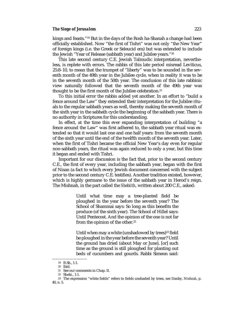#### *The Siege of Jerusalem* 223

kings and feasts."<sup>19</sup> But in the days of the Rosh ha-Shanah a change had been officially established. Now "the first of Tishri" was not only "the New Year" of foreign kings (i.e. the Greek or Seleucid era) but was extended to include the Jewish "Year of Release (sabbath year) and Jubilee years."20

This late second century C.E. Jewish Talmudic interpretation, nevertheless, is replete with errors. The rabbis of this late period misread Leviticus, 25:8–10, to mean that the trumpet of "liberty" was to be sounded in the seventh month of the 49th year in the Jubilee cycle, when in reality it was to be in the seventh month of the 50th year. The conclusion of this late rabbinic view naturally followed that the seventh month of the 49th year was thought to be the first month of the Jubilee celebration.<sup>21</sup>

To this initial error the rabbis added yet another. In an effort to "build a fence around the Law" they extended their interpretation for the Jubilee rituals to the regular sabbath years as well, thereby making the seventh month of the sixth year in the sabbath cycle the beginning of the sabbath year. There is no authority in Scriptures for this understanding.

In effect, at the time this ever expanding interpretation of building "a fence around the Law" was first adhered to, the sabbath year ritual was extended so that it would last one and one half years: from the seventh month of the sixth year until the end of the twelfth month of the seventh year. Later, when the first of Tishri became the official New Year's day even for regular non-sabbath years, the ritual was again reduced to only a year, but this time it began and ended with Tishri.

Important for our discussion is the fact that, prior to the second century C.E., the first of every year, including the sabbath year, began with the first of Nisan (a fact to which every Jewish document concerned with the subject prior to the second century C.E. testifies). Another tradition existed, however, which is highly germane to the issue of the sabbath year in Herod's reign. The Mishnah, in the part called the *Shebiith*, written about 200 C.E., asked:

> Until what time may a tree-planted field be ploughed in the year before the seventh year? The School of Shammai says: So long as this benefits the produce (of the sixth year). The School of Hillel says: Until Pentecost. And the opinion of the one is not far from the opinion of the other.<sup>22</sup>

> Until when may a white (unshadowed by trees)<sup>23</sup> field be ploughed in the year before the seventh year? Until the ground has dried (about May or June), [or] such time as the ground is still ploughed for planting out beds of cucumbers and gourds. Rabbi Simeon said:

<sup>——————————</sup> 19 R.Sh., 1:1.

<sup>20</sup> Ibid.

<sup>21</sup> See our comments in Chap. II.

<sup>22</sup> Shebi., 1:1.

<sup>23</sup> The expression "white fields" refers to fields unshaded by trees, see Danby, *Mishnah*, p. 40, n. 5.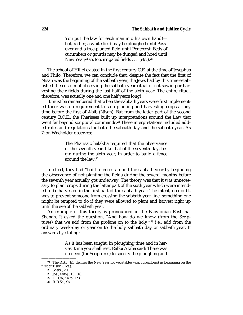You put the law for each man into his own hand! but, rather, a white field may be ploughed until Passover and a tree-planted field until Pentecost. Beds of cucumbers or gourds may be dunged and hoed until New Year;<sup>24</sup> so, too, irrigated fields . . . (etc.).<sup>25</sup>

The school of Hillel existed in the first century C.E. at the time of Josephus and Philo. Therefore, we can conclude that, despite the fact that the first of Nisan was the beginning of the sabbath year, the Jews had by this time established the custom of observing the sabbath year ritual of not sowing or harvesting their fields during the last half of the sixth year. The entire ritual, therefore, was actually one and one half years long!

It must be remembered that when the sabbath years were first implemented there was no requirement to stop planting and harvesting crops at any time before the first of Abib (Nisan). But from the latter part of the second century B.C.E., the Pharisees built up interpretations around the Law that went far beyond scriptural commands.<sup>26</sup> These interpretations included added rules and regulations for both the sabbath day and the sabbath year. As Zion Wacholder observes:

> The Pharisaic halakha required that the observance of the seventh year, like that of the seventh day, begin during the sixth year, in order to build a fence around the law.27

In effect, they had "built a fence" around the sabbath year by beginning the observance of not planting the fields during the several months before the seventh year actually got underway. The theory was that it was unnecessary to plant crops during the latter part of the sixth year which were intended to be harvested in the first part of the sabbath year. The intent, no doubt, was to prevent someone from crossing the sabbath year line, something one might be tempted to do if they were allowed to plant and harvest right up until the eve of the sabbath year.

An example of this theory is pronounced in the Babylonian Rosh ha-Shanah. It asked the question, "And how do we know (from the Scriptures) that we add from the profane on to the holy,"28 i.e., add from the ordinary week-day or year on to the holy sabbath day or sabbath year. It answers by stating:

> As it has been taught: In ploughing time and in harvest time you shall rest. Rabbi Akiba said: There was no need (for Scriptures) to specify the ploughing and

<sup>24</sup> The R.Sh., 1:1, defines the New Year for vegetables (e.g. cucumbers) as beginning on the first of Tishri (Oct.).

<sup>25</sup> Shebi., 2:1.

<sup>26</sup> Jos., *Antiq.*, 13:10:6.

<sup>27</sup> HUCA, 54, p. 128.

<sup>28</sup> B. R.Sh., 9a.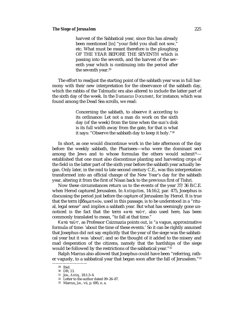harvest of the Sabbatical year, since this has already been mentioned [in] "your field you shall not sow," etc. What must be meant therefore is the ploughing OF THE YEAR BEFORE THE SEVENTH which is passing into the seventh, and the harvest of the seventh year which is continuing into the period after the seventh year.<sup>29</sup>

The effort to readjust the starting point of the sabbath year was in full harmony with their new interpretation for the observance of the sabbath day, which the rabbis of the Talmudic era also altered to include the latter part of the sixth day of the week. In the *Damascus Document*, for instance, which was found among the Dead Sea scrolls, we read:

> Concerning the sabbath, to observe it according to its ordinance: Let not a man do work on the sixth day (of the week) from the time when the sun's disk is its full width away from the gate, for that is what it says: "Observe the sabbath day to keep it holy."30

In short, as one would discontinue work in the late afternoon of the day before the weekly sabbath, the Pharisees—who were the dominant sect among the Jews and to whose formulas the others would submit $31$  established that one must also discontinue planting and harvesting crops of the field in the latter part of the sixth year before the sabbath year actually began. Only later, in the mid to late second century C.E., was this interpretation transformed into an official change of the New Year's day for the sabbath year, altering it from the first of Nisan back to the previous first of Tishri.

Now these circumstances return us to the events of the year 37/36 B.C.E. when Herod captured Jerusalem. In *Antiquities*, 14:16:2, par. 475, Josephus is discussing the period just before the capture of Jerusalem by Herod. It is true that the term εβδοματικόν, used in this passage, is to be understood in a "ritual, legal sense" and implies a sabbath year. But what has seemingly gone unnoticed is the fact that the term κατά ταῦτ', also used here, has been commonly translated to mean, "to fall at that time."

Kατά ταῦτ', as Professor Csizmazia points out, is "a vague, approximative formula of time: 'about the time of these events.' So it can be rightly assumed that Josephus did not say explicitly that the year of the siege was the sabbatical year but it was 'about'; and so the thought of it added to the misery and mad desperation of the citizens, namely that the hardships of the siege would be followed by the restrictions of the sabbatical year."32

Ralph Marcus also allowed that Josephus could have been "referring, rather vaguely, to a sabbatical year that began soon after the fall of Jerusalem."33

<sup>29</sup> Ibid.

<sup>30</sup> DR, 13.

<sup>31</sup> Jos., *Antiq.*, 18:1:3–4.

<sup>32</sup> Letter to the author dated 09–26–87.

<sup>33</sup> Marcus, *Jos.,* vii, p. 695, n. a.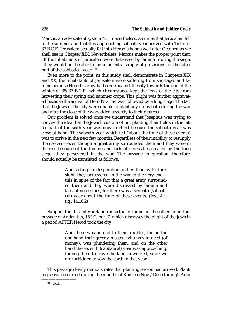Marcus, an advocate of system "C," nevertheless, assumes that Jerusalem fell in the summer and that this approaching sabbath year arrived with Tishri of 37 B.C.E. Jerusalem actually fell into Herod's hands well after October, as we shall see in Chapter XIX. Nevertheless, Marcus makes the proper point that, "If the inhabitants of Jerusalem were distressed by famine" during the siege, "they would not be able to lay in an extra supply of provisions for the latter part of the sabbatical year."34

Even more to the point, as this study shall demonstrate in Chapters XIX and XX, the inhabitants of Jerusalem were suffering from shortages and famine because Herod's army had come against the city towards the end of the winter of 38/37 B.C.E., which circumstance kept the Jews of the city from harvesting their spring and summer crops. This plight was further aggravated because the arrival of Herod's army was followed by a long siege. The fact that the Jews of the city were unable to plant any crops both during the war and after the close of the war added severely to their distress.

Our problem is solved once we understand that Josephus was trying to convey the idea that the Jewish custom of not planting their fields in the latter part of the sixth year was now in effect because the sabbath year was close at hand. The sabbath year which fell "about the time of these events" was to arrive in the next few months. Regardless of their inability to resupply themselves—even though a great army surrounded them and they were in distress because of the famine and lack of necessities created by the long siege—they persevered in the war. The passage in question, therefore, should actually be translated as follows:

> And acting in desperation rather than with foresight, they persevered in the war to the very end this in spite of the fact that a great army surrounded them and they were distressed by famine and lack of necessities, for there was a seventh (sabbatical) year about the time of these events. (Jos., *Antiq.*, 14:16:2)

Support for this interpretation is actually found in the other important passage of *Antiquities*, 15:1:2, par. 7, which discusses the plight of the Jews in a period AFTER Herod took the city.

> And there was no end to their troubles, for on the one hand their greedy master, who was in need (of money), was plundering them, and on the other hand the seventh (sabbatical) year was approaching, forcing them to leave the land unworked, since we are forbidden to sow the earth in that year.

This passage clearly demonstrates that planting season had arrived. Planting season occurred during the months of Khisleu (Nov./Dec.) through Adar

<sup>——————————</sup> 34 Ibid.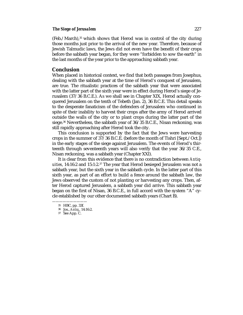#### *The Siege of Jerusalem* 227

(Feb./March),35 which shows that Herod was in control of the city during those months just prior to the arrival of the new year. Therefore, because of Jewish Talmudic laws, the Jews did not even have the benefit of their crops before the sabbath year began, for they were "forbidden to sow the earth" in the last months of the year prior to the approaching sabbath year.

# **Conclusion**

When placed in historical context, we find that both passages from Josephus, dealing with the sabbath year at the time of Herod's conquest of Jerusalem, are true. The ritualistic practices of the sabbath year that were associated with the latter part of the sixth year were in effect during Herod's siege of Jerusalem (37/36 B.C.E.). As we shall see in Chapter XIX, Herod actually conquered Jerusalem on the tenth of Tebeth (Jan. 2), 36 B.C.E. This detail speaks to the desperate fanaticism of the defenders of Jerusalem who continued in spite of their inability to harvest their crops after the army of Herod arrived outside the walls of the city or to plant crops during the latter part of the siege.36 Nevertheless, the sabbath year of 36/35 B.C.E., Nisan reckoning, was still rapidly approaching after Herod took the city.

This conclusion is supported by the fact that the Jews were harvesting crops in the summer of 37/36 B.C.E. (before the month of Tishri [Sept./Oct.]) in the early stages of the siege against Jerusalem. The events of Herod's thirteenth through seventeenth years will also verify that the year 36/35 C.E., Nisan reckoning, was a sabbath year (Chapter XXI).

It is clear from this evidence that there is no contradiction between *Antiquities*, 14:16:2 and 15:1:2.37 The year that Herod besieged Jerusalem was not a sabbath year, but the sixth year in the sabbath cycle. In the latter part of this sixth year, as part of an effort to build a fence around the sabbath law, the Jews observed the custom of not planting or harvesting any crops. Then, after Herod captured Jerusalem, a sabbath year did arrive. This sabbath year began on the first of Nisan, 36 B.C.E., in full accord with the system "A" cycle established by our other documented sabbath years (Chart B).

<sup>——————————</sup> 35 HBC, pp. 33f.

<sup>36</sup> Jos., *Antiq.*, 14:16:2.

<sup>37</sup> See App. C.